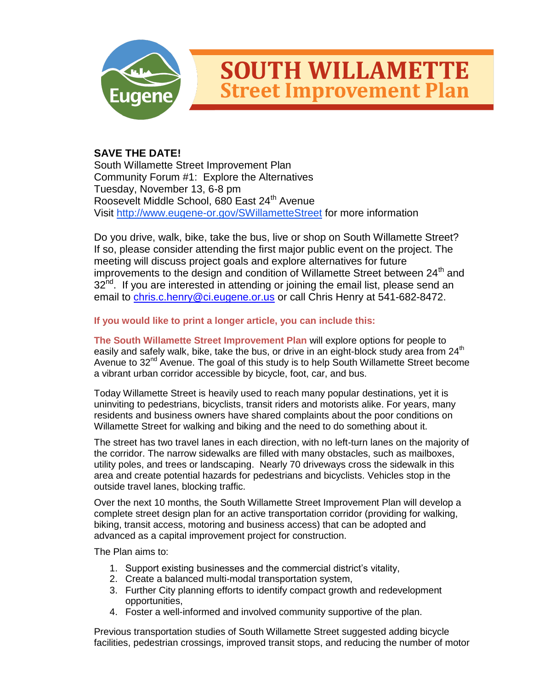

## **SOUTH WILLAMETTE Street Improvement Plan**

## **SAVE THE DATE!**

South Willamette Street Improvement Plan Community Forum #1: Explore the Alternatives Tuesday, November 13, 6-8 pm Roosevelt Middle School, 680 East 24<sup>th</sup> Avenue Visit<http://www.eugene-or.gov/SWillametteStreet> for more information

Do you drive, walk, bike, take the bus, live or shop on South Willamette Street? If so, please consider attending the first major public event on the project. The meeting will discuss project goals and explore alternatives for future improvements to the design and condition of Willamette Street between 24<sup>th</sup> and 32<sup>nd</sup>. If you are interested in attending or joining the email list, please send an email to [chris.c.henry@ci.eugene.or.us](mailto:chris.c.henry@ci.eugene.or.us) or call Chris Henry at 541-682-8472.

## **If you would like to print a longer article, you can include this:**

**The South Willamette Street Improvement Plan** will explore options for people to easily and safely walk, bike, take the bus, or drive in an eight-block study area from 24<sup>th</sup> Avenue to 32<sup>nd</sup> Avenue. The goal of this study is to help South Willamette Street become a vibrant urban corridor accessible by bicycle, foot, car, and bus.

Today Willamette Street is heavily used to reach many popular destinations, yet it is uninviting to pedestrians, bicyclists, transit riders and motorists alike. For years, many residents and business owners have shared complaints about the poor conditions on Willamette Street for walking and biking and the need to do something about it.

The street has two travel lanes in each direction, with no left-turn lanes on the majority of the corridor. The narrow sidewalks are filled with many obstacles, such as mailboxes, utility poles, and trees or landscaping. Nearly 70 driveways cross the sidewalk in this area and create potential hazards for pedestrians and bicyclists. Vehicles stop in the outside travel lanes, blocking traffic.

Over the next 10 months, the South Willamette Street Improvement Plan will develop a complete street design plan for an active transportation corridor (providing for walking, biking, transit access, motoring and business access) that can be adopted and advanced as a capital improvement project for construction.

The Plan aims to:

- 1. Support existing businesses and the commercial district's vitality,
- 2. Create a balanced multi-modal transportation system,
- 3. Further City planning efforts to identify compact growth and redevelopment opportunities,
- 4. Foster a well-informed and involved community supportive of the plan.

Previous transportation studies of South Willamette Street suggested adding bicycle facilities, pedestrian crossings, improved transit stops, and reducing the number of motor